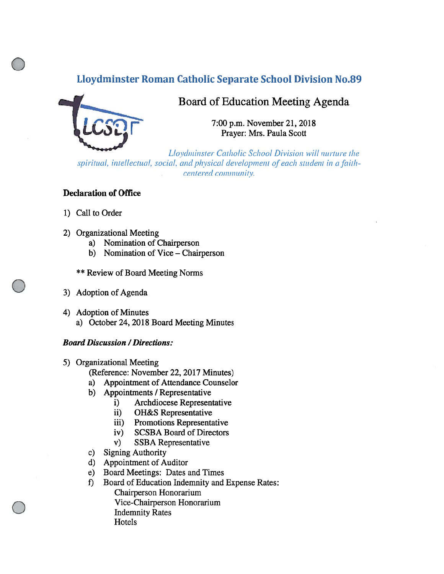## Lloydminster Roman Catholic Separate School Division No.89



# Board of Education Meeting Agenda

7:00 p.m. November 21, 2018 Prayer: Mrs. Paula Scott

Lloydminster Catholic School Division will nurture the spiritual, intellectual, social, and physical development of each student in a faithcentered community.

#### Declaration of Office

- 1) Call to Order
- 2) Organizational Meeting
	- a) Nomination of Chairperson
	- b) Nomination of Vice Chairperson
	- \*\* Review of Board Meeting Norms
- 3) Adoption of Agenda
- 4) Adoption of Minutes
	- a) October 24, 2018 Board Meeting Minutes

#### Board Discussion /Directions:

- 5) Organizational Meeting
	- (Reference: November 22, 2017 Minutes)
	- a) Appointment of Attendance Counselor
	- b) Appointments / Representative
		- i) Archdiocese Representative
		- ii) OH&S Representative
		- iii) Promotions Representative
		- iv) SCSBA Board of Directors
		- v) SSBA Representative
	- c) Signing Authority
	- d) Appointment of Auditor
	- e) Board Meetings: Dates and Times
	- f) Board of Education Indemnity and Expense Rates: Chairperson Honorarium Vice-Chairperson Honorarium Indemnity Rates Hotels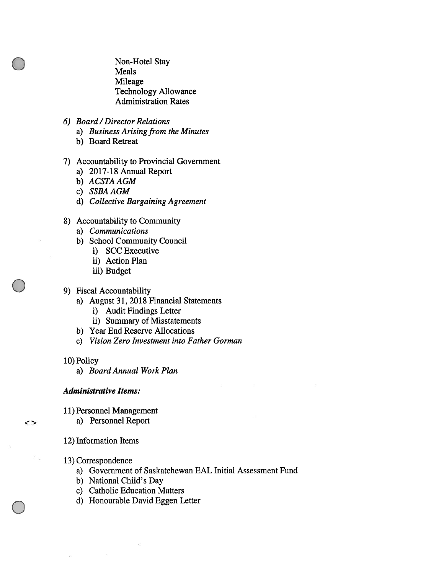Non-Hotel Stay Meals Mileage Technology Allowance Administration Rates

- 6) Board /Director Relations
	- a) Business Arising from the Minutes
	- b) Board Retreat
- 7) Accountability to Provincial Government
	- a) 2017-18 Annual Report
	- b) ACSTA AGM
	- c) SSBA AGM
	- d) Collective Bargaining Agreement
- 8) Accountability to Community
	- a) Communications
	- b) School Community Council
		- i) SCC Executive
		- ii) Action Plan
		- iii) Budget
- 9) Fiscal Accountability
	- a) August 31, 2018 Financial Statements
		- i) Audit Findings Letter
		- ii) Summary of Misstatements
	- b) Year End Reserve Allocations
	- c) Vision Zero Investment into Father Gorman
- 10) Policy

 $\leftrightarrow$ 

a) Board Annual Work Plan

#### Administrative Items:

- 11) Personnel Management
	- a) Personnel Report
- 12) Information Items
- 13) Correspondence
	- a) Government of Saskatchewan EAL Initial Assessment fund
	- b) National Child's Day
	- c) Catholic Education Matters
	- d) Honourable David Eggen Letter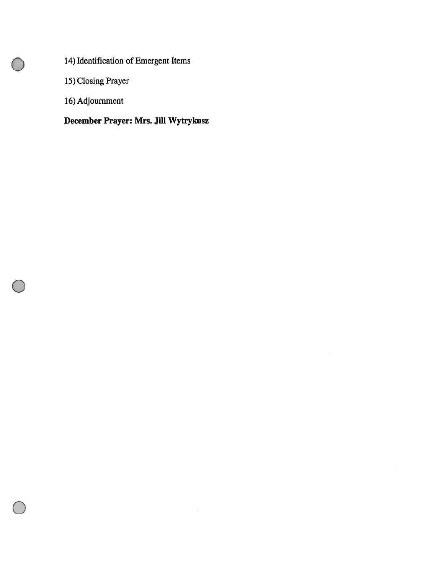14) Identification of Emergent Items

15) Closing Prayer

16) Adjournment

# December Prayer: Mrs. Jill Wytrykusz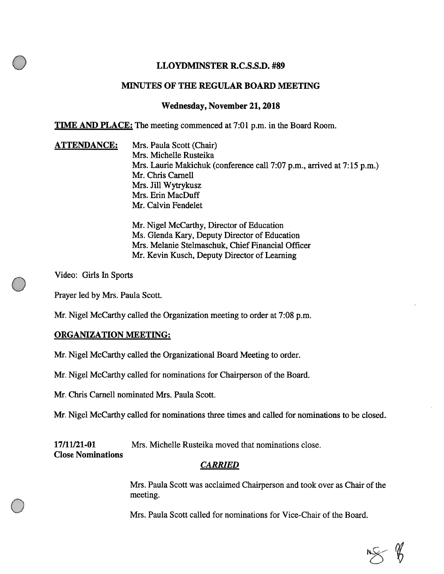## LLOYDMINSTER R.C.S.S.D. #89

## MINUTES OF THE REGULAR BOARD MEETING

## Wednesday, November 21, 201\$

TIME AND PLACE: The meeting commenced at 7:01 p.m. in the Board Room.

ATTENDANCE: Mrs. Paula Scott (Chair) Mrs. Michelle Rusteika Mrs. Laurie Makichuk (conference call 7:07 p.m., arrived at 7:15 p.m.) Mr. Chris Carnell Mrs. Jill Wytrykusz Mrs. Erin MacDuff Mr. Calvin Fendelet

> Mr. Nigel McCarthy, Director of Education Ms. Glenda Kary, Deputy Director of Education Mrs. Melanie Stelmaschuk, Chief Financial Officer Mr. Kevin Kusch, Deputy Director of Learning

Video: Girls In Sports

Prayer led by Mrs. Paula Scott.

Mr. Nigel McCarthy called the Organization meeting to order at 7:08 p.m.

## ORGANIZATION MEETING:

Mr. Nigel McCarthy called the Organizational Board Meeting to order.

Mr. Nigel McCarthy called for nominations for Chairperson of the Board.

Mr. Chris Carnell nominated Mrs. Paula Scott.

Mr. Nigel McCarthy called for nominations three times and called for nominations to be closed.

17/11/21-01 Mrs. Michelle Rusteika moved that nominations close.

Close Nominations

## CARRIED

Mrs. Paula Scott was acclaimed Chairperson and took over as Chair of the meeting.

Mrs. Paula Scott called for nominations for Vice-Chair of the Board.

 $M \gg 1$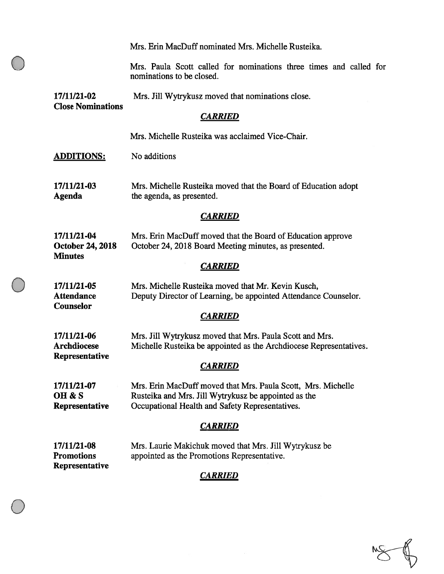|                                                          | Mrs. Erin MacDuff nominated Mrs. Michelle Rusteika.                                                                                                                     |  |
|----------------------------------------------------------|-------------------------------------------------------------------------------------------------------------------------------------------------------------------------|--|
|                                                          | Mrs. Paula Scott called for nominations three times and called for<br>nominations to be closed.                                                                         |  |
| 17/11/21-02<br><b>Close Nominations</b>                  | Mrs. Jill Wytrykusz moved that nominations close.                                                                                                                       |  |
| <b>CARRIED</b>                                           |                                                                                                                                                                         |  |
|                                                          | Mrs. Michelle Rusteika was acclaimed Vice-Chair.                                                                                                                        |  |
| <b>ADDITIONS:</b>                                        | No additions                                                                                                                                                            |  |
| 17/11/21-03<br>Agenda                                    | Mrs. Michelle Rusteika moved that the Board of Education adopt<br>the agenda, as presented.                                                                             |  |
| <i><b>CARRIED</b></i>                                    |                                                                                                                                                                         |  |
| 17/11/21-04<br><b>October 24, 2018</b><br><b>Minutes</b> | Mrs. Erin MacDuff moved that the Board of Education approve<br>October 24, 2018 Board Meeting minutes, as presented.                                                    |  |
| <b>CARRIED</b>                                           |                                                                                                                                                                         |  |
| 17/11/21-05<br><b>Attendance</b><br>Counselor            | Mrs. Michelle Rusteika moved that Mr. Kevin Kusch,<br>Deputy Director of Learning, be appointed Attendance Counselor.                                                   |  |
|                                                          | <b>CARRIED</b>                                                                                                                                                          |  |
| 17/11/21-06<br><b>Archdiocese</b>                        | Mrs. Jill Wytrykusz moved that Mrs. Paula Scott and Mrs.<br>Michelle Rusteika be appointed as the Archdiocese Representatives.                                          |  |
| Representative<br><b>CARRIED</b>                         |                                                                                                                                                                         |  |
| 17/11/21-07<br>OH & S<br>Representative                  | Mrs. Erin MacDuff moved that Mrs. Paula Scott, Mrs. Michelle<br>Rusteika and Mrs. Jill Wytrykusz be appointed as the<br>Occupational Health and Safety Representatives. |  |
| <b>CARRIED</b>                                           |                                                                                                                                                                         |  |
| 17/11/21-08<br><b>Promotions</b><br>Representative       | Mrs. Laurie Makichuk moved that Mrs. Jill Wytrykusz be<br>appointed as the Promotions Representative.                                                                   |  |
|                                                          | CARRIED                                                                                                                                                                 |  |

 $\frac{1}{\sqrt{2}}$ 

 $\bigoplus$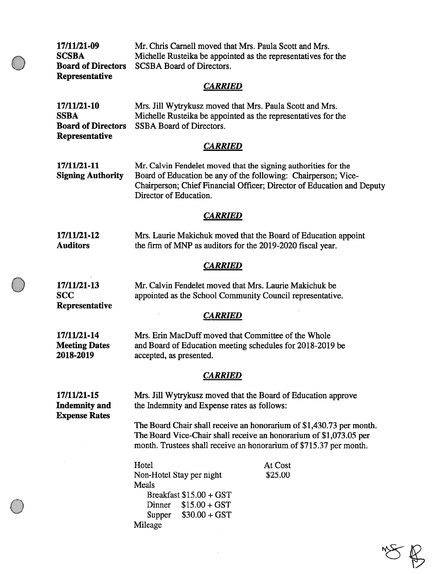17/11/21-09 Mr. Chris Camel! moved that Mrs. Paula Scott and Mrs. SCSBA Michelle Rusteika be appointed as the representatives for the Board of Directors SCSBA Board of Directors. Representative **CARRIED** 17/11/21-10 Mrs. Jill Wytrykusz moved that Mrs. Paula Scott and Mrs. SSBA Michelle Rusteika be appointed as the representatives for the **Board of Directors** SSBA Board of Directors. Representative **CARRIED** 17/11/21-11 Mr. Calvin Fendelet moved that the signing authorities for the Signing Authority Board of Education be any of the following: Chairperson; Vice-Chairperson; Chief financial Officer; Director of Education and Deputy Director of Education. **CARRIED** 17/11/21-12 Mrs. Laurie Makichuk moved that the Board of Education appoint Auditors the firm of MNP as auditors for the 2019-2020 fiscal year. **CARRIED** 17/11/21-13 Mr. Calvin Fendelet moved that Mrs. Laurie Makichuk be SCC appointed as the School Community Council representative. **Representative CARRIED** 17/11/21-14 Mrs. Erin MacDuff moved that Committee of the Whole Meeting Dates and Board of Education meeting schedules for 2018-2019 be 2018-2019 accepted, as presented. **CARRIED** 17/11/21-15 Mrs. Jill Wytrykusz moved that the Board of Education approve Indemnity and the Indemnity and Expense rates as follows: Expense Rates The Board Chair shall receive an honorarium of \$1,430.73 per month. The Board Vice-Chair shall receive an honorarium of \$1,073.05 per month. Trustees shall receive an honorarium of \$715.37 per month. Hotel At Cost Non-Hotel Stay per night \$25.00 Meals Breakfast  $$15.00 + GST$ Dinner \$15.00 +GST Supper \$30.00 <sup>+</sup> GST Mileage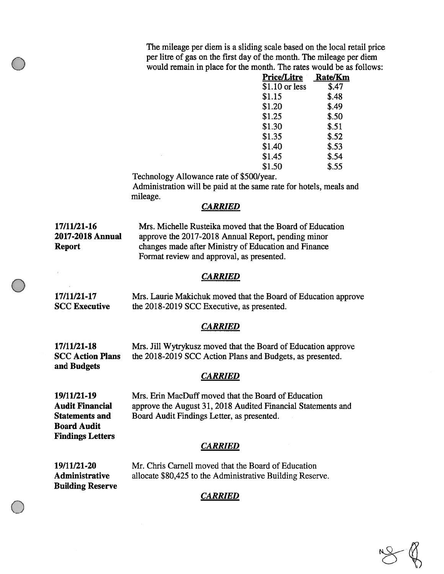The mileage per diem is <sup>a</sup> sliding scale based on the local retail price per litre of gas on the first day of the month. The mileage per diem would remain in place for the month. The rates would be as follows:

| <b>Price/Litre</b> | <b>Rate/Km</b> |
|--------------------|----------------|
| $$1.10$ or less    | \$.47          |
| \$1.15             | \$.48          |
| \$1.20             | \$.49          |
| \$1.25             | \$.50          |
| \$1.30             | \$.51          |
| \$1.35             | \$.52          |
| \$1.40             | \$.53          |
| \$1.45             | \$.54          |
| \$1.50             | \$.55          |

Technology Allowance rate of \$500/year.

Administration will be paid at the same rate for hotels, meals and mileage.

#### **CARRIED**

17/11/21-16 Mrs. Michelle Rusteika moved that the Board of Education 2017-2018 Annual approve the 2017-2018 Annual Report, pending minor Report changes made after Ministry of Education and Finance Format review and approval, as presented.

#### CARRIED

17/11/21-17 Mrs. Laurie Makichuk moved that the Board of Education approve **SCC Executive** the 2018-2019 SCC Executive, as presented.

#### **CARRIED**

17/11/21-18 Mrs. Jill Wytrykusz moved that the Board of Education approve 5CC Action Plans the 2018-2019 5CC Action Plans and Budgets, as presented. and Budgets

#### *CARRIED*

Board Audit Findings Letters

19/11/21-19 Mrs. Erin MacDuff moved that the Board of Education Audit Financial approve the August 31, 2018 Audited Financial Statements and Statements and Board Audit Findings Letter, as presented.

## CARRIED

19/11/21-20 Mr. Chris Carnell moved that the Board of Education Administrative allocate \$80,425 to the Administrative Building Reserve. Building Reserve

## CARRIED